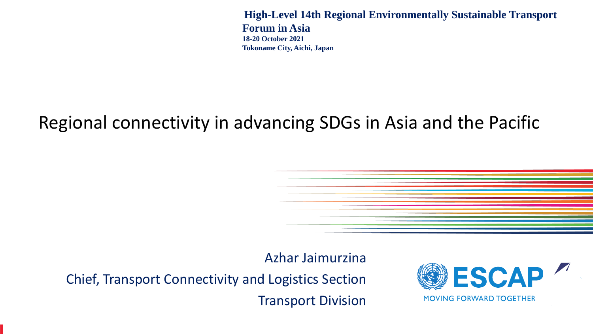**High-Level 14th Regional Environmentally Sustainable Transport Forum in Asia 18-20 October 2021 Tokoname City, Aichi, Japan** 

### Regional connectivity in advancing SDGs in Asia and the Pacific

and Road Initiative for the achievement of the Sustainable Development Goals

Azhar Jaimurzina

Chief, Transport Connectivity and Logistics Section Transport Division

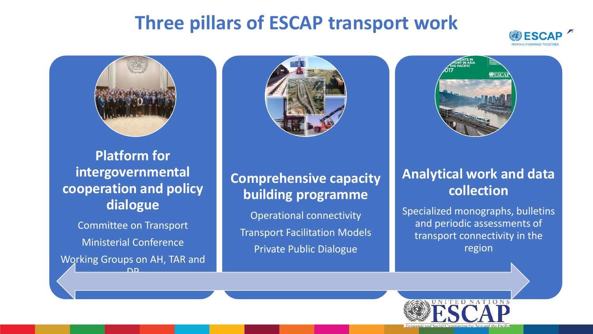### **Three pillars of ESCAP transport work**





**Platform for intergovernmental cooperation and policy dialogue**

Committee on Transport Ministerial Conference

Working Groups on AH, TAR and <u>חם</u>





#### **Comprehensive capacity building programme**

Operational connectivity Transport Facilitation Models Private Public Dialogue

#### **Analytical work and data collection**

Specialized monographs, bulletins and periodic assessments of transport connectivity in the region

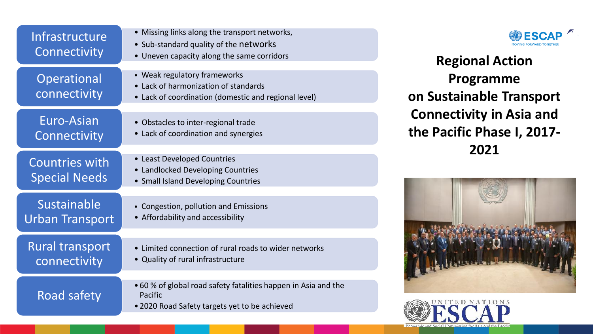| Infrastructure<br>Connectivity                | • Missing lin<br>· Sub-standa<br>• Uneven ca  |
|-----------------------------------------------|-----------------------------------------------|
| <b>Operational</b><br>connectivity            | • Weak regu<br>Lack of har<br>Lack of coc     |
| Euro-Asian<br>Connectivity                    | Obstacles t<br>Lack of coc                    |
| <b>Countries with</b><br><b>Special Needs</b> | • Least Deve<br>• Landlocked<br>• Small Islan |
| Sustainable<br>Urban Transport                | • Congestior<br>Affordabili                   |
| <b>Rural</b> transport<br>connectivity        | Limited cor<br>• Quality of                   |
| <b>Road safety</b>                            | • 60 % of glo<br>Pacific<br>• 2020 Road       |
|                                               |                                               |

|  |  |  |  |  |  | • Missing links along the transport networks, |
|--|--|--|--|--|--|-----------------------------------------------|
|--|--|--|--|--|--|-----------------------------------------------|

- ard quality of the networks
- pacity along the same corridors
- latory frameworks
- monization of standards
- rdination (domestic and regional level)
- to inter-regional trade
- rdination and synergies
- loped Countries
- **Developing Countries**
- d Developing Countries
- pollution and Emissions
- ty and accessibility
- nnection of rural roads to wider networks
- rural infrastructure
- bal road safety fatalities happen in Asia and the
- Safety targets yet to be achieved



**Regional Action Programme on Sustainable Transport Connectivity in Asia and the Pacific Phase I, 2017- 2021**



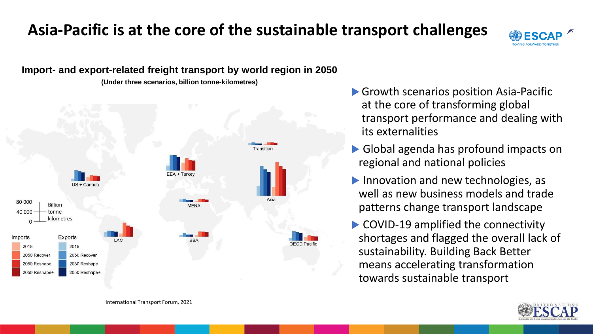### **Asia-Pacific is at the core of the sustainable transport challenges**



**Import- and export-related freight transport by world region in 2050**

**(Under three scenarios, billion tonne-kilometres)**



- ▶ Growth scenarios position Asia-Pacific at the core of transforming global transport performance and dealing with its externalities
- Global agenda has profound impacts on regional and national policies
- Innovation and new technologies, as well as new business models and trade patterns change transport landscape
- ▶ COVID-19 amplified the connectivity shortages and flagged the overall lack of sustainability. Building Back Better means accelerating transformation towards sustainable transport



International Transport Forum, 2021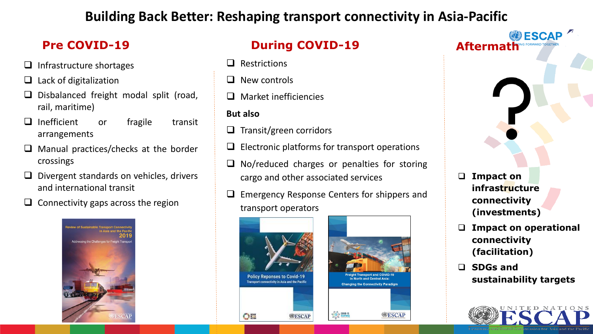#### **Building Back Better: Reshaping transport connectivity in Asia-Pacific**

- ❑ Infrastructure shortages
- Lack of digitalization
- ❑ Disbalanced freight modal split (road, rail, maritime)
- ❑ Inefficient or fragile transit arrangements
- ❑ Manual practices/checks at the border crossings
- ❑ Divergent standards on vehicles, drivers and international transit
- ❑ Connectivity gaps across the region



#### **Pre COVID-19 During COVID-19 Aftermath**

- ❑ Restrictions
- ❑ New controls
- ❑ Market inefficiencies
- **But also**
- ❑ Transit/green corridors
- ❑ Electronic platforms for transport operations
- ❑ No/reduced charges or penalties for storing cargo and other associated services
- Emergency Response Centers for shippers and transport operators







- ❑ **Impact on infrastructure connectivity (investments)**
- ❑ **Impact on operational connectivity (facilitation)**
- ❑ **SDGs and sustainability targets**

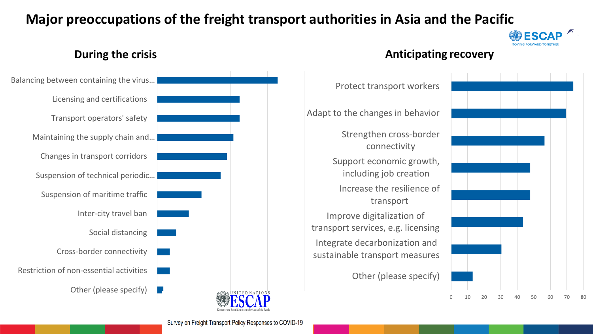#### **Major preoccupations of the freight transport authorities in Asia and the Pacific**





#### **During the crisis Anticipating recovery**



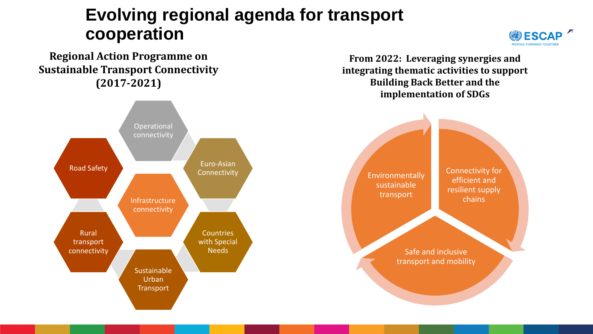### **Evolving regional agenda for transport cooperation**

**Regional Action Programme on Sustainable Transport Connectivity (2017-2021)**



**From 2022: Leveraging synergies and integrating thematic activities to support Building Back Better and the implementation of SDGs**



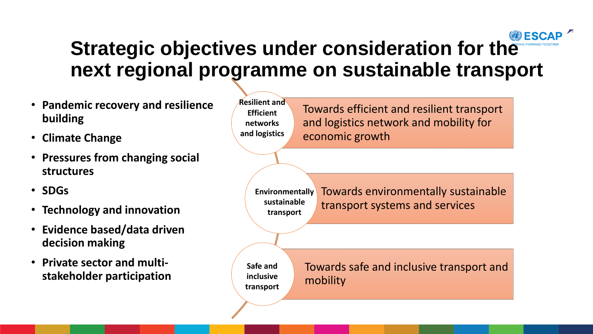## **Strategic objectives under consideration for the ESCA next regional programme on sustainable transport**

- **Pandemic recovery and resilience building**
- **Climate Change**
- **Pressures from changing social structures**
- **SDGs**
- **Technology and innovation**
- **Evidence based/data driven decision making**
- **Private sector and multistakeholder participation**

**Resilient and Efficient networks and logistics**

Towards efficient and resilient transport and logistics network and mobility for economic growth

Towards environmentally sustainable transport systems and services **Environmentally sustainable transport**

**Safe and inclusive transport** Towards safe and inclusive transport and mobility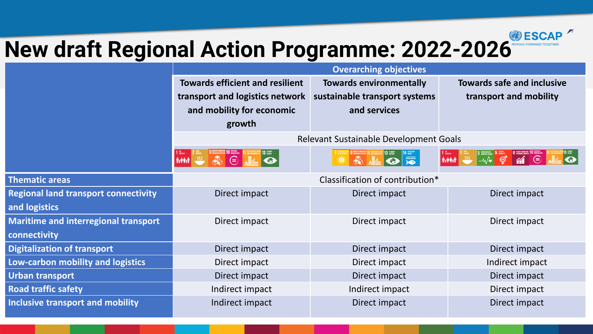

# **New draft Regional Action Programme: 2022-2026**

|                                             | <b>Overarching objectives</b>                  |                                |                                                                |  |  |
|---------------------------------------------|------------------------------------------------|--------------------------------|----------------------------------------------------------------|--|--|
|                                             | <b>Towards efficient and resilient</b>         | <b>Towards environmentally</b> | <b>Towards safe and inclusive</b>                              |  |  |
|                                             | transport and logistics network                | sustainable transport systems  | transport and mobility                                         |  |  |
|                                             | and mobility for economic                      | and services                   |                                                                |  |  |
|                                             | growth                                         |                                |                                                                |  |  |
|                                             | Relevant Sustainable Development Goals         |                                |                                                                |  |  |
|                                             | ⊜<br><b><i><u>MANT</u></i></b><br>$\mathbb{R}$ | ₩<br>美                         | $M \odot$<br>$\overline{m}$<br>ේ<br>$\bullet$<br>$\frac{1}{2}$ |  |  |
| <b>Thematic areas</b>                       | Classification of contribution*                |                                |                                                                |  |  |
| <b>Regional land transport connectivity</b> | Direct impact                                  | Direct impact                  | Direct impact                                                  |  |  |
| and logistics                               |                                                |                                |                                                                |  |  |
| <b>Maritime and interregional transport</b> | Direct impact                                  | Direct impact                  | Direct impact                                                  |  |  |
| connectivity                                |                                                |                                |                                                                |  |  |
| <b>Digitalization of transport</b>          | Direct impact                                  | Direct impact                  | Direct impact                                                  |  |  |
| Low-carbon mobility and logistics           | Direct impact                                  | Direct impact                  | Indirect impact                                                |  |  |
| <b>Urban transport</b>                      | Direct impact                                  | Direct impact                  | Direct impact                                                  |  |  |
| <b>Road traffic safety</b>                  | Indirect impact                                | Indirect impact                | Direct impact                                                  |  |  |
| Inclusive transport and mobility            | Indirect impact                                | Direct impact                  | Direct impact                                                  |  |  |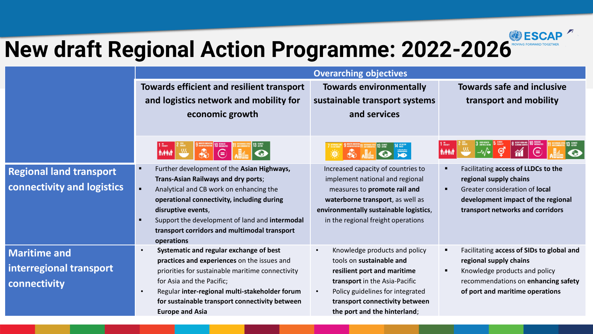# **New draft Regional Action Programme: 2022-2026**

|                                |                                                                                                                                                                                                                                                                                                                                                                                                    | <b>Overarching objectives</b>                                   |                                                          |
|--------------------------------|----------------------------------------------------------------------------------------------------------------------------------------------------------------------------------------------------------------------------------------------------------------------------------------------------------------------------------------------------------------------------------------------------|-----------------------------------------------------------------|----------------------------------------------------------|
|                                | <b>Towards efficient and resilient transport</b>                                                                                                                                                                                                                                                                                                                                                   | <b>Towards environmentally</b>                                  | <b>Towards safe and inclusive</b>                        |
|                                | and logistics network and mobility for                                                                                                                                                                                                                                                                                                                                                             | sustainable transport systems                                   | transport and mobility                                   |
|                                | economic growth                                                                                                                                                                                                                                                                                                                                                                                    | and services                                                    |                                                          |
|                                |                                                                                                                                                                                                                                                                                                                                                                                                    |                                                                 |                                                          |
|                                | $\overline{\mathbb{G}}$<br>Avenue 114<br>$\begin{picture}(120,15) \put(0,0){\line(1,0){155}} \put(15,0){\line(1,0){155}} \put(15,0){\line(1,0){155}} \put(15,0){\line(1,0){155}} \put(15,0){\line(1,0){155}} \put(15,0){\line(1,0){155}} \put(15,0){\line(1,0){155}} \put(15,0){\line(1,0){155}} \put(15,0){\line(1,0){155}} \put(15,0){\line(1,0){155}} \put(15,0){\line(1,0){155}}$<br>$\bullet$ | OF<br>$\clubsuit$<br>$\overline{AB}$<br>EQ.                     | $\mathfrak{S}$<br>$\underline{m}$<br>$\pi$<br>$\epsilon$ |
| <b>Regional land transport</b> | Further development of the Asian Highways,<br>п                                                                                                                                                                                                                                                                                                                                                    | Increased capacity of countries to                              | Facilitating access of LLDCs to the                      |
| connectivity and logistics     | Trans-Asian Railways and dry ports;<br>$\blacksquare$<br>Analytical and CB work on enhancing the                                                                                                                                                                                                                                                                                                   | implement national and regional<br>measures to promote rail and | regional supply chains<br>Greater consideration of local |
|                                | operational connectivity, including during                                                                                                                                                                                                                                                                                                                                                         | waterborne transport, as well as                                | development impact of the regional                       |
|                                | disruptive events,                                                                                                                                                                                                                                                                                                                                                                                 | environmentally sustainable logistics,                          | transport networks and corridors                         |
|                                | Support the development of land and intermodal<br>п                                                                                                                                                                                                                                                                                                                                                | in the regional freight operations                              |                                                          |
|                                | transport corridors and multimodal transport<br>operations                                                                                                                                                                                                                                                                                                                                         |                                                                 |                                                          |
| <b>Maritime and</b>            | Systematic and regular exchange of best                                                                                                                                                                                                                                                                                                                                                            | Knowledge products and policy<br>$\bullet$                      | Facilitating access of SIDs to global and                |
|                                | practices and experiences on the issues and                                                                                                                                                                                                                                                                                                                                                        | tools on sustainable and                                        | regional supply chains                                   |
| interregional transport        | priorities for sustainable maritime connectivity                                                                                                                                                                                                                                                                                                                                                   | resilient port and maritime                                     | Knowledge products and policy                            |
| connectivity                   | for Asia and the Pacific;                                                                                                                                                                                                                                                                                                                                                                          | transport in the Asia-Pacific                                   | recommendations on enhancing safety                      |
|                                | Regular inter-regional multi-stakeholder forum<br>$\bullet$                                                                                                                                                                                                                                                                                                                                        | Policy guidelines for integrated<br>$\bullet$                   | of port and maritime operations                          |
|                                | for sustainable transport connectivity between                                                                                                                                                                                                                                                                                                                                                     | transport connectivity between                                  |                                                          |
|                                | <b>Europe and Asia</b>                                                                                                                                                                                                                                                                                                                                                                             | the port and the hinterland;                                    |                                                          |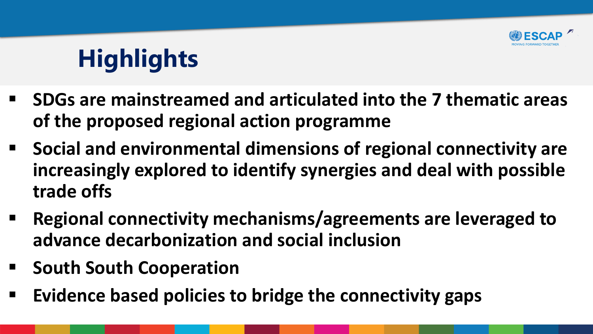

# **Highlights**

- **SDGs are mainstreamed and articulated into the 7 thematic areas of the proposed regional action programme**
- Social and environmental dimensions of regional connectivity are **increasingly explored to identify synergies and deal with possible trade offs**
- **Regional connectivity mechanisms/agreements are leveraged to advance decarbonization and social inclusion**
- **South South Cooperation**
- **Evidence based policies to bridge the connectivity gaps**